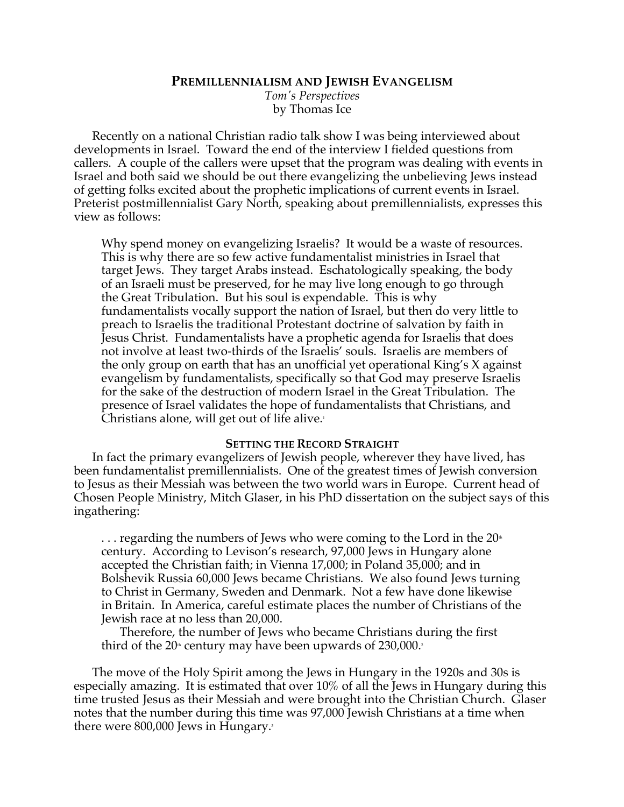## **PREMILLENNIALISM AND JEWISH EVANGELISM**

*Tom's Perspectives* by Thomas Ice

Recently on a national Christian radio talk show I was being interviewed about developments in Israel. Toward the end of the interview I fielded questions from callers. A couple of the callers were upset that the program was dealing with events in Israel and both said we should be out there evangelizing the unbelieving Jews instead of getting folks excited about the prophetic implications of current events in Israel. Preterist postmillennialist Gary North, speaking about premillennialists, expresses this view as follows:

Why spend money on evangelizing Israelis? It would be a waste of resources. This is why there are so few active fundamentalist ministries in Israel that target Jews. They target Arabs instead. Eschatologically speaking, the body of an Israeli must be preserved, for he may live long enough to go through the Great Tribulation. But his soul is expendable. This is why fundamentalists vocally support the nation of Israel, but then do very little to preach to Israelis the traditional Protestant doctrine of salvation by faith in Jesus Christ. Fundamentalists have a prophetic agenda for Israelis that does not involve at least two-thirds of the Israelis' souls. Israelis are members of the only group on earth that has an unofficial yet operational King's X against evangelism by fundamentalists, specifically so that God may preserve Israelis for the sake of the destruction of modern Israel in the Great Tribulation. The presence of Israel validates the hope of fundamentalists that Christians, and Christians alone, will get out of life alive.<sup>1</sup>

# **SETTING THE RECORD STRAIGHT**

In fact the primary evangelizers of Jewish people, wherever they have lived, has been fundamentalist premillennialists. One of the greatest times of Jewish conversion to Jesus as their Messiah was between the two world wars in Europe. Current head of Chosen People Ministry, Mitch Glaser, in his PhD dissertation on the subject says of this ingathering:

 $\ldots$  regarding the numbers of Jews who were coming to the Lord in the 20<sup>th</sup> century. According to Levison's research, 97,000 Jews in Hungary alone accepted the Christian faith; in Vienna 17,000; in Poland 35,000; and in Bolshevik Russia 60,000 Jews became Christians. We also found Jews turning to Christ in Germany, Sweden and Denmark. Not a few have done likewise in Britain. In America, careful estimate places the number of Christians of the Jewish race at no less than 20,000.

Therefore, the number of Jews who became Christians during the first third of the  $20<sup>th</sup>$  century may have been upwards of  $230,000$ .

The move of the Holy Spirit among the Jews in Hungary in the 1920s and 30s is especially amazing. It is estimated that over 10% of all the Jews in Hungary during this time trusted Jesus as their Messiah and were brought into the Christian Church. Glaser notes that the number during this time was 97,000 Jewish Christians at a time when there were 800,000 Jews in Hungary.<sup>3</sup>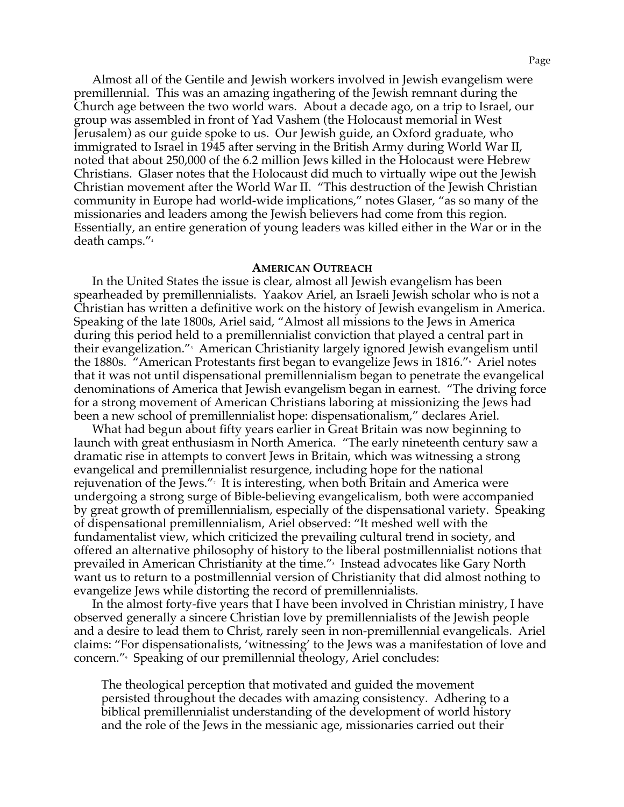Almost all of the Gentile and Jewish workers involved in Jewish evangelism were premillennial. This was an amazing ingathering of the Jewish remnant during the Church age between the two world wars. About a decade ago, on a trip to Israel, our group was assembled in front of Yad Vashem (the Holocaust memorial in West Jerusalem) as our guide spoke to us. Our Jewish guide, an Oxford graduate, who immigrated to Israel in 1945 after serving in the British Army during World War II, noted that about 250,000 of the 6.2 million Jews killed in the Holocaust were Hebrew Christians. Glaser notes that the Holocaust did much to virtually wipe out the Jewish Christian movement after the World War II. "This destruction of the Jewish Christian community in Europe had world-wide implications," notes Glaser, "as so many of the missionaries and leaders among the Jewish believers had come from this region. Essentially, an entire generation of young leaders was killed either in the War or in the death camps."4

### **AMERICAN OUTREACH**

In the United States the issue is clear, almost all Jewish evangelism has been spearheaded by premillennialists. Yaakov Ariel, an Israeli Jewish scholar who is not a Christian has written a definitive work on the history of Jewish evangelism in America. Speaking of the late 1800s, Ariel said, "Almost all missions to the Jews in America during this period held to a premillennialist conviction that played a central part in their evangelization."<sup>,</sup> American Christianity largely ignored Jewish evangelism until the 1880s. "American Protestants first began to evangelize Jews in 1816."6 Ariel notes that it was not until dispensational premillennialism began to penetrate the evangelical denominations of America that Jewish evangelism began in earnest. "The driving force for a strong movement of American Christians laboring at missionizing the Jews had been a new school of premillennialist hope: dispensationalism," declares Ariel.

What had begun about fifty years earlier in Great Britain was now beginning to launch with great enthusiasm in North America. "The early nineteenth century saw a dramatic rise in attempts to convert Jews in Britain, which was witnessing a strong evangelical and premillennialist resurgence, including hope for the national rejuvenation of the Jews."7 It is interesting, when both Britain and America were undergoing a strong surge of Bible-believing evangelicalism, both were accompanied by great growth of premillennialism, especially of the dispensational variety. Speaking of dispensational premillennialism, Ariel observed: "It meshed well with the fundamentalist view, which criticized the prevailing cultural trend in society, and offered an alternative philosophy of history to the liberal postmillennialist notions that prevailed in American Christianity at the time."<sup>。</sup> Instead advocates like Gary North want us to return to a postmillennial version of Christianity that did almost nothing to evangelize Jews while distorting the record of premillennialists.

In the almost forty-five years that I have been involved in Christian ministry, I have observed generally a sincere Christian love by premillennialists of the Jewish people and a desire to lead them to Christ, rarely seen in non-premillennial evangelicals. Ariel claims: "For dispensationalists, 'witnessing' to the Jews was a manifestation of love and concern."9 Speaking of our premillennial theology, Ariel concludes:

The theological perception that motivated and guided the movement persisted throughout the decades with amazing consistency. Adhering to a biblical premillennialist understanding of the development of world history and the role of the Jews in the messianic age, missionaries carried out their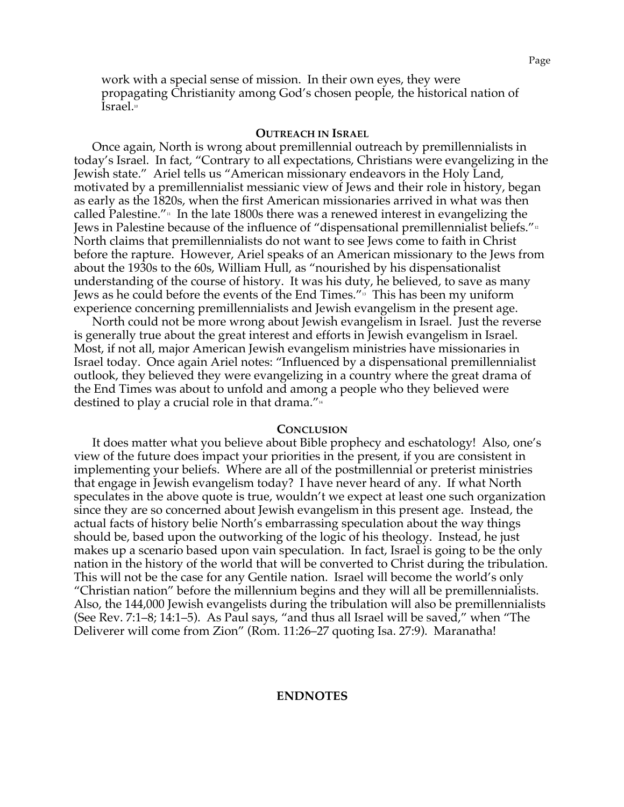work with a special sense of mission. In their own eyes, they were propagating Christianity among God's chosen people, the historical nation of Israel.<sup>10</sup>

#### **OUTREACH IN ISRAEL**

Once again, North is wrong about premillennial outreach by premillennialists in today's Israel. In fact, "Contrary to all expectations, Christians were evangelizing in the Jewish state." Ariel tells us "American missionary endeavors in the Holy Land, motivated by a premillennialist messianic view of Jews and their role in history, began as early as the 1820s, when the first American missionaries arrived in what was then called Palestine."<sup>11</sup> In the late 1800s there was a renewed interest in evangelizing the Jews in Palestine because of the influence of "dispensational premillennialist beliefs." $\frac{1}{2}$ North claims that premillennialists do not want to see Jews come to faith in Christ before the rapture. However, Ariel speaks of an American missionary to the Jews from about the 1930s to the 60s, William Hull, as "nourished by his dispensationalist understanding of the course of history. It was his duty, he believed, to save as many Jews as he could before the events of the End Times."13 This has been my uniform experience concerning premillennialists and Jewish evangelism in the present age.

North could not be more wrong about Jewish evangelism in Israel. Just the reverse is generally true about the great interest and efforts in Jewish evangelism in Israel. Most, if not all, major American Jewish evangelism ministries have missionaries in Israel today. Once again Ariel notes: "Influenced by a dispensational premillennialist outlook, they believed they were evangelizing in a country where the great drama of the End Times was about to unfold and among a people who they believed were destined to play a crucial role in that drama." $\frac{1}{4}$ 

#### **CONCLUSION**

It does matter what you believe about Bible prophecy and eschatology! Also, one's view of the future does impact your priorities in the present, if you are consistent in implementing your beliefs. Where are all of the postmillennial or preterist ministries that engage in Jewish evangelism today? I have never heard of any. If what North speculates in the above quote is true, wouldn't we expect at least one such organization since they are so concerned about Jewish evangelism in this present age. Instead, the actual facts of history belie North's embarrassing speculation about the way things should be, based upon the outworking of the logic of his theology. Instead, he just makes up a scenario based upon vain speculation. In fact, Israel is going to be the only nation in the history of the world that will be converted to Christ during the tribulation. This will not be the case for any Gentile nation. Israel will become the world's only "Christian nation" before the millennium begins and they will all be premillennialists. Also, the 144,000 Jewish evangelists during the tribulation will also be premillennialists (See Rev. 7:1–8; 14:1–5). As Paul says, "and thus all Israel will be saved," when "The Deliverer will come from Zion" (Rom. 11:26–27 quoting Isa. 27:9). Maranatha!

Page

### **ENDNOTES**